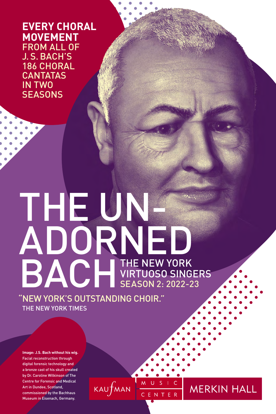**EVERY CHORAL MOVEMENT** FROM ALL OF J. S. BACH'S 186 CHORAL **CANTATAS** IN TWO **SEASONS** 

# THE UN-ADORNED BACH THE NEW YORK VIRTUOSO SINGERS SEASON 2: 2022-23

 $KAUf$ MAN

M U S I C

CENTER

**MERKIN HALL** 

"NEW YORK'S OUTSTANDING CHOIR." THE NEW YORK TIMES

**Image: J.S. Bach without his wig.**  Facial reconstruction through digital forensic technology and a bronze cast of his skull created by Dr. Caroline Wilkinson of The Centre for Forensic and Medical Art in Dundee, Scotland, commissioned by the Bachhaus Museum in Eisenach, Germany.